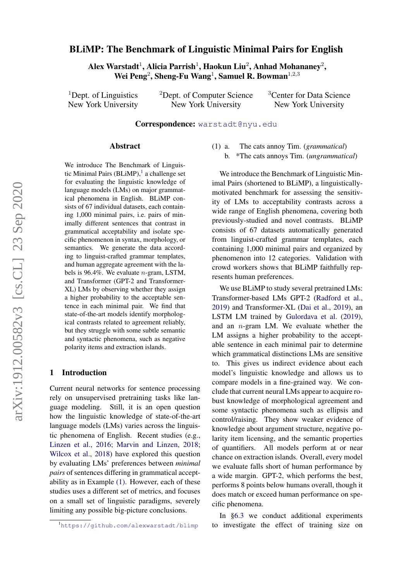# arXiv:1912.00582v3 [cs.CL] 23 Sep 2020 arXiv:1912.00582v3 [cs.CL] 23 Sep 2020

# BLiMP: The Benchmark of Linguistic Minimal Pairs for English

Alex Warstadt $^1$ , Alicia Parrish $^1$ , Haokun Liu $^2$ , Anhad Mohananey $^2,$ Wei Peng<sup>2</sup>, Sheng-Fu Wang<sup>1</sup>, Samuel R. Bowman<sup>1,2,3</sup>

<sup>1</sup>Dept. of Linguistics New York University <sup>2</sup>Dept. of Computer Science New York University

<sup>3</sup>Center for Data Science New York University

### Correspondence: [warstadt@nyu.edu](mailto:warstadt@nyu.edu)

### Abstract

We introduce The Benchmark of Linguis-tic Minimal Pairs (BLiMP),<sup>[1](#page-0-0)</sup> a challenge set for evaluating the linguistic knowledge of language models (LMs) on major grammatical phenomena in English. BLiMP consists of 67 individual datasets, each containing 1,000 minimal pairs, i.e. pairs of minimally different sentences that contrast in grammatical acceptability and isolate specific phenomenon in syntax, morphology, or semantics. We generate the data according to linguist-crafted grammar templates, and human aggregate agreement with the labels is 96.4%. We evaluate  $n$ -gram, LSTM, and Transformer (GPT-2 and Transformer-XL) LMs by observing whether they assign a higher probability to the acceptable sentence in each minimal pair. We find that state-of-the-art models identify morphological contrasts related to agreement reliably, but they struggle with some subtle semantic and syntactic phenomena, such as negative polarity items and extraction islands.

### 1 Introduction

Current neural networks for sentence processing rely on unsupervised pretraining tasks like language modeling. Still, it is an open question how the linguistic knowledge of state-of-the-art language models (LMs) varies across the linguistic phenomena of English. Recent studies (e.g., [Linzen et al.,](#page-12-0) [2016;](#page-12-0) [Marvin and Linzen,](#page-12-1) [2018;](#page-12-1) [Wilcox et al.,](#page-13-0) [2018\)](#page-13-0) have explored this question by evaluating LMs' preferences between *minimal pairs* of sentences differing in grammatical acceptability as in Example [\(1\).](#page-0-1) However, each of these studies uses a different set of metrics, and focuses on a small set of linguistic paradigms, severely limiting any possible big-picture conclusions.

(1) a. The cats annoy Tim. (*grammatical*) b. \*The cats annoys Tim. (*ungrammatical*)

We introduce the Benchmark of Linguistic Minimal Pairs (shortened to BLiMP), a linguisticallymotivated benchmark for assessing the sensitivity of LMs to acceptability contrasts across a wide range of English phenomena, covering both previously-studied and novel contrasts. BLiMP consists of 67 datasets automatically generated from linguist-crafted grammar templates, each containing 1,000 minimal pairs and organized by phenomenon into 12 categories. Validation with crowd workers shows that BLiMP faithfully represents human preferences.

We use BLiMP to study several pretrained LMs: Transformer-based LMs GPT-2 [\(Radford et al.,](#page-12-2) [2019\)](#page-12-2) and Transformer-XL [\(Dai et al.,](#page-11-0) [2019\)](#page-11-0), an LSTM LM trained by [Gulordava et al.](#page-11-1) [\(2019\)](#page-11-1), and an  $n$ -gram LM. We evaluate whether the LM assigns a higher probability to the acceptable sentence in each minimal pair to determine which grammatical distinctions LMs are sensitive to. This gives us indirect evidence about each model's linguistic knowledge and allows us to compare models in a fine-grained way. We conclude that current neural LMs appear to acquire robust knowledge of morphological agreement and some syntactic phenomena such as ellipsis and control/raising. They show weaker evidence of knowledge about argument structure, negative polarity item licensing, and the semantic properties of quantifiers. All models perform at or near chance on extraction islands. Overall, every model we evaluate falls short of human performance by a wide margin. GPT-2, which performs the best, performs 8 points below humans overall, though it does match or exceed human performance on specific phenomena.

In [§6.3](#page-8-0) we conduct additional experiments to investigate the effect of training size on

<span id="page-0-1"></span><span id="page-0-0"></span><sup>1</sup><https://github.com/alexwarstadt/blimp>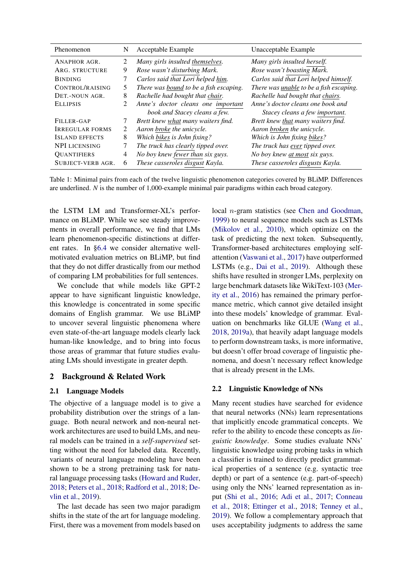| Phenomenon             | N | Acceptable Example                     | Unacceptable Example                    |
|------------------------|---|----------------------------------------|-----------------------------------------|
| ANAPHOR AGR.           | 2 | Many girls insulted themselves.        | Many girls insulted herself.            |
| ARG. STRUCTURE         | 9 | Rose wasn't disturbing Mark.           | Rose wasn't boasting Mark.              |
| <b>BINDING</b>         |   | Carlos said that Lori helped him.      | Carlos said that Lori helped himself.   |
| CONTROL/RAISING        | 5 | There was bound to be a fish escaping. | There was unable to be a fish escaping. |
| DET.-NOUN AGR.         | 8 | Rachelle had bought that chair.        | Rachelle had bought that chairs.        |
| <b>ELLIPSIS</b>        | 2 | Anne's doctor cleans one important     | Anne's doctor cleans one book and       |
|                        |   | book and Stacey cleans a few.          | Stacey cleans a few important.          |
| FILLER-GAP             |   | Brett knew what many waiters find.     | Brett knew that many waiters find.      |
| <b>IRREGULAR FORMS</b> | 2 | Aaron broke the unicycle.              | Aaron broken the unicycle.              |
| <b>ISLAND EFFECTS</b>  | 8 | Which bikes is John fixing?            | Which is John fixing bikes?             |
| <b>NPI LICENSING</b>   | 7 | The truck has clearly tipped over.     | The truck has ever tipped over.         |
| <b>QUANTIFIERS</b>     | 4 | No boy knew fewer than six guys.       | No boy knew at most six guys.           |
| SUBJECT-VERB AGR.      | 6 | These casseroles disgust Kayla.        | These casseroles disgusts Kayla.        |

<span id="page-1-0"></span>Table 1: Minimal pairs from each of the twelve linguistic phenomenon categories covered by BLiMP. Differences are underlined. *N* is the number of 1,000-example minimal pair paradigms within each broad category.

the LSTM LM and Transformer-XL's performance on BLiMP. While we see steady improvements in overall performance, we find that LMs learn phenomenon-specific distinctions at different rates. In [§6.4](#page-9-0) we consider alternative wellmotivated evaluation metrics on BLiMP, but find that they do not differ drastically from our method of comparing LM probabilities for full sentences.

We conclude that while models like GPT-2 appear to have significant linguistic knowledge, this knowledge is concentrated in some specific domains of English grammar. We use BLiMP to uncover several linguistic phenomena where even state-of-the-art language models clearly lack human-like knowledge, and to bring into focus those areas of grammar that future studies evaluating LMs should investigate in greater depth.

# 2 Background & Related Work

### 2.1 Language Models

The objective of a language model is to give a probability distribution over the strings of a language. Both neural network and non-neural network architectures are used to build LMs, and neural models can be trained in a *self-supervised* setting without the need for labeled data. Recently, variants of neural language modeling have been shown to be a strong pretraining task for natural language processing tasks [\(Howard and Ruder,](#page-12-3) [2018;](#page-12-3) [Peters et al.,](#page-12-4) [2018;](#page-12-4) [Radford et al.,](#page-12-5) [2018;](#page-12-5) [De](#page-11-2)[vlin et al.,](#page-11-2) [2019\)](#page-11-2).

The last decade has seen two major paradigm shifts in the state of the art for language modeling. First, there was a movement from models based on

local n-gram statistics (see [Chen and Goodman,](#page-11-3) [1999\)](#page-11-3) to neural sequence models such as LSTMs [\(Mikolov et al.,](#page-12-6) [2010\)](#page-12-6), which optimize on the task of predicting the next token. Subsequently, Transformer-based architectures employing selfattention [\(Vaswani et al.,](#page-13-1) [2017\)](#page-13-1) have outperformed LSTMs (e.g., [Dai et al.,](#page-11-0) [2019\)](#page-11-0). Although these shifts have resulted in stronger LMs, perplexity on large benchmark datasets like WikiText-103 [\(Mer](#page-12-7)[ity et al.,](#page-12-7) [2016\)](#page-12-7) has remained the primary performance metric, which cannot give detailed insight into these models' knowledge of grammar. Evaluation on benchmarks like GLUE [\(Wang et al.,](#page-13-2) [2018,](#page-13-2) [2019a\)](#page-13-3), that heavily adapt language models to perform downstream tasks, is more informative, but doesn't offer broad coverage of linguistic phenomena, and doesn't necessary reflect knowledge that is already present in the LMs.

### 2.2 Linguistic Knowledge of NNs

Many recent studies have searched for evidence that neural networks (NNs) learn representations that implicitly encode grammatical concepts. We refer to the ability to encode these concepts as *linguistic knowledge*. Some studies evaluate NNs' linguistic knowledge using probing tasks in which a classifier is trained to directly predict grammatical properties of a sentence (e.g. syntactic tree depth) or part of a sentence (e.g. part-of-speech) using only the NNs' learned representation as input [\(Shi et al.,](#page-13-4) [2016;](#page-13-4) [Adi et al.,](#page-11-4) [2017;](#page-11-4) [Conneau](#page-11-5) [et al.,](#page-11-5) [2018;](#page-11-5) [Ettinger et al.,](#page-11-6) [2018;](#page-11-6) [Tenney et al.,](#page-13-5) [2019\)](#page-13-5). We follow a complementary approach that uses acceptability judgments to address the same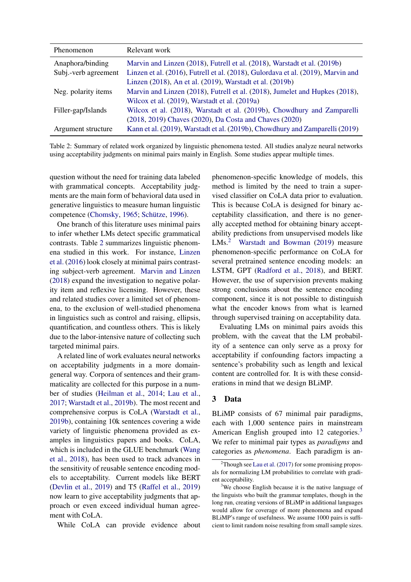| <b>Phenomenon</b>    | Relevant work                                                                    |
|----------------------|----------------------------------------------------------------------------------|
| Anaphora/binding     | Marvin and Linzen (2018), Futrell et al. (2018), Warstadt et al. (2019b)         |
| Subj.-verb agreement | Linzen et al. (2016), Futrell et al. (2018), Gulordava et al. (2019), Marvin and |
|                      | Linzen (2018), An et al. (2019), Warstadt et al. (2019b)                         |
| Neg. polarity items  | Marvin and Linzen (2018), Futrell et al. (2018), Jumelet and Hupkes (2018),      |
|                      | Wilcox et al. (2019), Warstadt et al. (2019a)                                    |
| Filler-gap/Islands   | Wilcox et al. (2018), Warstadt et al. (2019b), Chowdhury and Zamparelli          |
|                      | (2018, 2019) Chaves (2020), Da Costa and Chaves (2020)                           |
| Argument structure   | Kann et al. (2019), Warstadt et al. (2019b), Chowdhury and Zamparelli (2019)     |

<span id="page-2-0"></span>Table 2: Summary of related work organized by linguistic phenomena tested. All studies analyze neural networks using acceptability judgments on minimal pairs mainly in English. Some studies appear multiple times.

question without the need for training data labeled with grammatical concepts. Acceptability judgments are the main form of behavioral data used in generative linguistics to measure human linguistic competence [\(Chomsky,](#page-11-13) [1965;](#page-11-13) [Schütze,](#page-13-9) [1996\)](#page-13-9).

One branch of this literature uses minimal pairs to infer whether LMs detect specific grammatical contrasts. Table [2](#page-2-0) summarizes linguistic phenomena studied in this work. For instance, [Linzen](#page-12-0) [et al.](#page-12-0) [\(2016\)](#page-12-0) look closely at minimal pairs contrasting subject-verb agreement. [Marvin and Linzen](#page-12-1) [\(2018\)](#page-12-1) expand the investigation to negative polarity item and reflexive licensing. However, these and related studies cover a limited set of phenomena, to the exclusion of well-studied phenomena in linguistics such as control and raising, ellipsis, quantification, and countless others. This is likely due to the labor-intensive nature of collecting such targeted minimal pairs.

A related line of work evaluates neural networks on acceptability judgments in a more domaingeneral way. Corpora of sentences and their grammaticality are collected for this purpose in a number of studies [\(Heilman et al.,](#page-12-10) [2014;](#page-12-10) [Lau et al.,](#page-12-11) [2017;](#page-12-11) [Warstadt et al.,](#page-13-6) [2019b\)](#page-13-6). The most recent and comprehensive corpus is CoLA [\(Warstadt et al.,](#page-13-6) [2019b\)](#page-13-6), containing 10k sentences covering a wide variety of linguistic phenomena provided as examples in linguistics papers and books. CoLA, which is included in the GLUE benchmark [\(Wang](#page-13-2) [et al.,](#page-13-2) [2018\)](#page-13-2), has been used to track advances in the sensitivity of reusable sentence encoding models to acceptability. Current models like BERT [\(Devlin et al.,](#page-11-2) [2019\)](#page-11-2) and T5 [\(Raffel et al.,](#page-12-12) [2019\)](#page-12-12) now learn to give acceptability judgments that approach or even exceed individual human agreement with CoLA.

While CoLA can provide evidence about

phenomenon-specific knowledge of models, this method is limited by the need to train a supervised classifier on CoLA data prior to evaluation. This is because CoLA is designed for binary acceptability classification, and there is no generally accepted method for obtaining binary acceptability predictions from unsupervised models like LMs.<sup>[2](#page-2-1)</sup> [Warstadt and Bowman](#page-13-10) [\(2019\)](#page-13-10) measure phenomenon-specific performance on CoLA for several pretrained sentence encoding models: an LSTM, GPT [\(Radford et al.,](#page-12-5) [2018\)](#page-12-5), and BERT. However, the use of supervision prevents making strong conclusions about the sentence encoding component, since it is not possible to distinguish what the encoder knows from what is learned through supervised training on acceptability data.

Evaluating LMs on minimal pairs avoids this problem, with the caveat that the LM probability of a sentence can only serve as a proxy for acceptability if confounding factors impacting a sentence's probability such as length and lexical content are controlled for. It is with these considerations in mind that we design BLiMP.

### 3 Data

BLiMP consists of 67 minimal pair paradigms, each with 1,000 sentence pairs in mainstream American English grouped into 12 categories.<sup>[3](#page-2-2)</sup> We refer to minimal pair types as *paradigms* and categories as *phenomena*. Each paradigm is an-

<span id="page-2-1"></span> $2^2$ Though see [Lau et al.](#page-12-11) [\(2017\)](#page-12-11) for some promising proposals for normalizing LM probabilities to correlate with gradient acceptability.

<span id="page-2-2"></span><sup>&</sup>lt;sup>3</sup>We choose English because it is the native language of the linguists who built the grammar templates, though in the long run, creating versions of BLiMP in additional languages would allow for coverage of more phenomena and expand BLiMP's range of usefulness. We assume 1000 pairs is sufficient to limit random noise resulting from small sample sizes.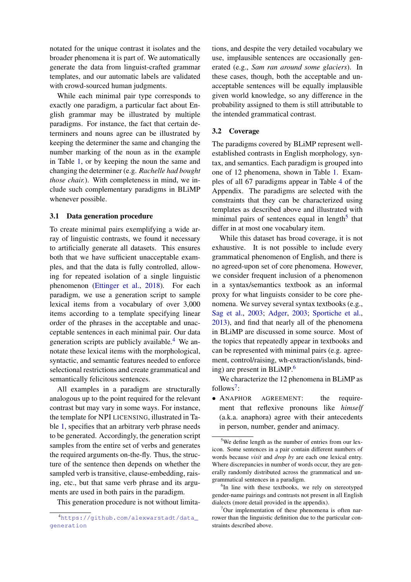notated for the unique contrast it isolates and the broader phenomena it is part of. We automatically generate the data from linguist-crafted grammar templates, and our automatic labels are validated with crowd-sourced human judgments.

While each minimal pair type corresponds to exactly one paradigm, a particular fact about English grammar may be illustrated by multiple paradigms. For instance, the fact that certain determiners and nouns agree can be illustrated by keeping the determiner the same and changing the number marking of the noun as in the example in Table [1,](#page-1-0) or by keeping the noun the same and changing the determiner (e.g. *Rachelle had bought those chair.*). With completeness in mind, we include such complementary paradigms in BLiMP whenever possible.

### 3.1 Data generation procedure

To create minimal pairs exemplifying a wide array of linguistic contrasts, we found it necessary to artificially generate all datasets. This ensures both that we have sufficient unacceptable examples, and that the data is fully controlled, allowing for repeated isolation of a single linguistic phenomenon [\(Ettinger et al.,](#page-11-6) [2018\)](#page-11-6). For each paradigm, we use a generation script to sample lexical items from a vocabulary of over 3,000 items according to a template specifying linear order of the phrases in the acceptable and unacceptable sentences in each minimal pair. Our data generation scripts are publicly available.<sup>[4](#page-3-0)</sup> We annotate these lexical items with the morphological, syntactic, and semantic features needed to enforce selectional restrictions and create grammatical and semantically felicitous sentences.

All examples in a paradigm are structurally analogous up to the point required for the relevant contrast but may vary in some ways. For instance, the template for NPI LICENSING, illustrated in Table [1,](#page-1-0) specifies that an arbitrary verb phrase needs to be generated. Accordingly, the generation script samples from the entire set of verbs and generates the required arguments on-the-fly. Thus, the structure of the sentence then depends on whether the sampled verb is transitive, clause-embedding, raising, etc., but that same verb phrase and its arguments are used in both pairs in the paradigm.

This generation procedure is not without limita-

tions, and despite the very detailed vocabulary we use, implausible sentences are occasionally generated (e.g., *Sam ran around some glaciers*). In these cases, though, both the acceptable and unacceptable sentences will be equally implausible given world knowledge, so any difference in the probability assigned to them is still attributable to the intended grammatical contrast.

### 3.2 Coverage

The paradigms covered by BLiMP represent wellestablished contrasts in English morphology, syntax, and semantics. Each paradigm is grouped into one of 12 phenomena, shown in Table [1.](#page-1-0) Examples of all 67 paradigms appear in Table [4](#page-14-0) of the Appendix. The paradigms are selected with the constraints that they can be characterized using templates as described above and illustrated with minimal pairs of sentences equal in length<sup>[5](#page-3-1)</sup> that differ in at most one vocabulary item.

While this dataset has broad coverage, it is not exhaustive. It is not possible to include every grammatical phenomenon of English, and there is no agreed-upon set of core phenomena. However, we consider frequent inclusion of a phenomenon in a syntax/semantics textbook as an informal proxy for what linguists consider to be core phenomena. We survey several syntax textbooks (e.g., [Sag et al.,](#page-13-11) [2003;](#page-13-11) [Adger,](#page-11-14) [2003;](#page-11-14) [Sportiche et al.,](#page-13-12) [2013\)](#page-13-12), and find that nearly all of the phenomena in BLiMP are discussed in some source. Most of the topics that repeatedly appear in textbooks and can be represented with minimal pairs (e.g. agreement, control/raising, wh-extraction/islands, bind-ing) are present in BLiMP.<sup>[6](#page-3-2)</sup>

We characterize the 12 phenomena in BLiMP as follows<sup>[7](#page-3-3)</sup>:

• ANAPHOR AGREEMENT: the requirement that reflexive pronouns like *himself* (a.k.a. anaphora) agree with their antecedents in person, number, gender and animacy.

<span id="page-3-0"></span><sup>4</sup>[https://github.com/alexwarstadt/data\\_](https://github.com/alexwarstadt/data_generation) [generation](https://github.com/alexwarstadt/data_generation)

<span id="page-3-1"></span><sup>&</sup>lt;sup>5</sup>We define length as the number of entries from our lexicon. Some sentences in a pair contain different numbers of words because *visit* and *drop by* are each one lexical entry. Where discrepancies in number of words occur, they are generally randomly distributed across the grammatical and ungrammatical sentences in a paradigm.

<span id="page-3-2"></span><sup>&</sup>lt;sup>6</sup>In line with these textbooks, we rely on stereotyped gender-name pairings and contrasts not present in all English dialects (more detail provided in the appendix).

<span id="page-3-3"></span> $7$ Our implementation of these phenomena is often narrower than the linguistic definition due to the particular constraints described above.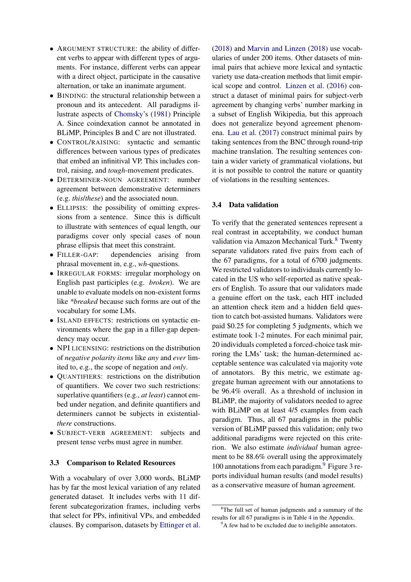- ARGUMENT STRUCTURE: the ability of different verbs to appear with different types of arguments. For instance, different verbs can appear with a direct object, participate in the causative alternation, or take an inanimate argument.
- BINDING: the structural relationship between a pronoun and its antecedent. All paradigms illustrate aspects of [Chomsky'](#page-11-15)s [\(1981\)](#page-11-15) Principle A. Since coindexation cannot be annotated in BLiMP, Principles B and C are not illustrated.
- CONTROL/RAISING: syntactic and semantic differences between various types of predicates that embed an infinitival VP. This includes control, raising, and *tough*-movement predicates.
- DETERMINER-NOUN AGREEMENT: number agreement between demonstrative determiners (e.g. *this*/*these*) and the associated noun.
- ELLIPSIS: the possibility of omitting expressions from a sentence. Since this is difficult to illustrate with sentences of equal length, our paradigms cover only special cases of noun phrase ellipsis that meet this constraint.
- FILLER-GAP: dependencies arising from phrasal movement in, e.g., *wh*-questions.
- IRREGULAR FORMS: irregular morphology on English past participles (e.g. *broken*). We are unable to evaluate models on non-existent forms like *\*breaked* because such forms are out of the vocabulary for some LMs.
- ISLAND EFFECTS: restrictions on syntactic environments where the gap in a filler-gap dependency may occur.
- NPI LICENSING: restrictions on the distribution of *negative polarity items* like *any* and *ever* limited to, e.g., the scope of negation and *only*.
- QUANTIFIERS: restrictions on the distribution of quantifiers. We cover two such restrictions: superlative quantifiers (e.g., *at least*) cannot embed under negation, and definite quantifiers and determiners cannot be subjects in existential*there* constructions.
- SUBJECT-VERB AGREEMENT: subjects and present tense verbs must agree in number.

### 3.3 Comparison to Related Resources

With a vocabulary of over 3,000 words, BLiMP has by far the most lexical variation of any related generated dataset. It includes verbs with 11 different subcategorization frames, including verbs that select for PPs, infinitival VPs, and embedded clauses. By comparison, datasets by [Ettinger et al.](#page-11-6) [\(2018\)](#page-11-6) and [Marvin and Linzen](#page-12-1) [\(2018\)](#page-12-1) use vocabularies of under 200 items. Other datasets of minimal pairs that achieve more lexical and syntactic variety use data-creation methods that limit empirical scope and control. [Linzen et al.](#page-12-0) [\(2016\)](#page-12-0) construct a dataset of minimal pairs for subject-verb agreement by changing verbs' number marking in a subset of English Wikipedia, but this approach does not generalize beyond agreement phenomena. [Lau et al.](#page-12-11) [\(2017\)](#page-12-11) construct minimal pairs by taking sentences from the BNC through round-trip machine translation. The resulting sentences contain a wider variety of grammatical violations, but it is not possible to control the nature or quantity of violations in the resulting sentences.

### <span id="page-4-2"></span>3.4 Data validation

To verify that the generated sentences represent a real contrast in acceptability, we conduct human validation via Amazon Mechanical Turk.<sup>[8](#page-4-0)</sup> Twenty separate validators rated five pairs from each of the 67 paradigms, for a total of 6700 judgments. We restricted validators to individuals currently located in the US who self-reported as native speakers of English. To assure that our validators made a genuine effort on the task, each HIT included an attention check item and a hidden field question to catch bot-assisted humans. Validators were paid \$0.25 for completing 5 judgments, which we estimate took 1-2 minutes. For each minimal pair, 20 individuals completed a forced-choice task mirroring the LMs' task; the human-determined acceptable sentence was calculated via majority vote of annotators. By this metric, we estimate aggregate human agreement with our annotations to be 96.4% overall. As a threshold of inclusion in BLiMP, the majority of validators needed to agree with BLiMP on at least  $4/5$  examples from each paradigm. Thus, all 67 paradigms in the public version of BLiMP passed this validation; only two additional paradigms were rejected on this criterion. We also estimate *individual* human agreement to be 88.6% overall using the approximately 100 annotations from each paradigm.[9](#page-4-1) Figure [3](#page-5-0) reports individual human results (and model results) as a conservative measure of human agreement.

<span id="page-4-0"></span><sup>&</sup>lt;sup>8</sup>The full set of human judgments and a summary of the results for all 67 paradigms is in Table [4](#page-14-0) in the Appendix.

<span id="page-4-1"></span><sup>&</sup>lt;sup>9</sup>A few had to be excluded due to ineligible annotators.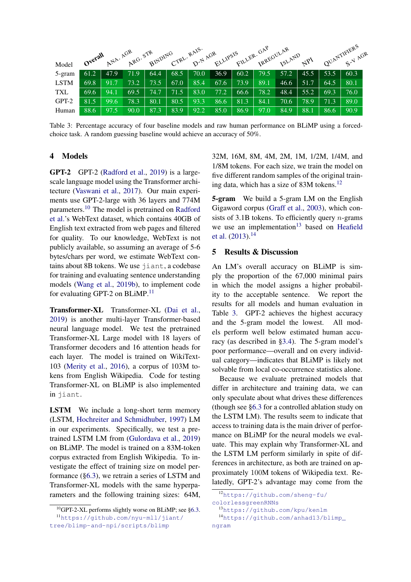|             |         | ANA. AGR |      |      |      | ARG. STR BINDING CTRL. RAIS. AGR ELLIPSIS |      |      | FILLER. GAP | <b>ISLAND</b> |          |      | QUANTIFIERS<br>S-V Arra |
|-------------|---------|----------|------|------|------|-------------------------------------------|------|------|-------------|---------------|----------|------|-------------------------|
| Model       | Overall |          |      |      |      |                                           |      |      |             |               | $A^{p1}$ |      |                         |
| 5-gram      | 61.2    | 47.9     | 71.9 | 64.4 | 68.5 | 70.0                                      | 36.9 | 60.2 | 79.5        | 57.2          | 45.5     | 53.5 | 60.3                    |
| <b>LSTM</b> | 69.8    | 91.7     | 73.2 | 73.5 | 67.0 | 85.4                                      | 67.6 | 73.9 | 89.1        | 46.6          | 51.7     | 64.5 | 80.1                    |
| <b>TXL</b>  | 69.6    | 94.1     | 69.5 | 74.7 | 71.5 | 83.0                                      | 77.2 | 66.6 | 78.2        | 48.4          | 55.2     | 69.3 | 76.0                    |
| GPT-2       | 81.5    | 99.6     | 78.3 | 80.1 | 80.5 | 93.3                                      | 86.6 | 81.3 | 84.1        | 70.6          | 78.9     | 71.3 | 89.0                    |
| Human       | 88.6    | 97.5     | 90.0 | 87.3 | 83.9 | 92.2                                      | 85.0 | 86.9 | 97.0        | 84.9          | 88.1     | 86.6 | 90.9                    |

<span id="page-5-0"></span>Table 3: Percentage accuracy of four baseline models and raw human performance on BLiMP using a forcedchoice task. A random guessing baseline would achieve an accuracy of 50%.

### 4 Models

GPT-2 GPT-2 [\(Radford et al.,](#page-12-2) [2019\)](#page-12-2) is a largescale language model using the Transformer architecture [\(Vaswani et al.,](#page-13-1) [2017\)](#page-13-1). Our main experiments use GPT-2-large with 36 layers and 774M parameters.[10](#page-5-1) The model is pretrained on [Radford](#page-12-2) [et al.'](#page-12-2)s WebText dataset, which contains 40GB of English text extracted from web pages and filtered for quality. To our knowledge, WebText is not publicly available, so assuming an average of 5-6 bytes/chars per word, we estimate WebText contains about 8B tokens. We use jiant, a codebase for training and evaluating sentence understanding models [\(Wang et al.,](#page-13-13) [2019b\)](#page-13-13), to implement code for evaluating GPT-2 on BLiMP.<sup>[11](#page-5-2)</sup>

Transformer-XL Transformer-XL [\(Dai et al.,](#page-11-0) [2019\)](#page-11-0) is another multi-layer Transformer-based neural language model. We test the pretrained Transformer-XL Large model with 18 layers of Transformer decoders and 16 attention heads for each layer. The model is trained on WikiText-103 [\(Merity et al.,](#page-12-7) [2016\)](#page-12-7), a corpus of 103M tokens from English Wikipedia. Code for testing Transformer-XL on BLiMP is also implemented in jiant.

LSTM We include a long-short term memory (LSTM, [Hochreiter and Schmidhuber,](#page-12-13) [1997\)](#page-12-13) LM in our experiments. Specifically, we test a pretrained LSTM LM from [\(Gulordava et al.,](#page-11-1) [2019\)](#page-11-1) on BLiMP. The model is trained on a 83M-token corpus extracted from English Wikipedia. To investigate the effect of training size on model performance ([§6.3\)](#page-8-0), we retrain a series of LSTM and Transformer-XL models with the same hyperparameters and the following training sizes: 64M, 32M, 16M, 8M, 4M, 2M, 1M, 1/2M, 1/4M, and 1/8M tokens. For each size, we train the model on five different random samples of the original training data, which has a size of 83M tokens.[12](#page-5-3)

5-gram We build a 5-gram LM on the English Gigaword corpus [\(Graff et al.,](#page-11-16) [2003\)](#page-11-16), which consists of 3.1B tokens. To efficiently query *n*-grams we use an implementation<sup>[13](#page-5-4)</sup> based on [Heafield](#page-12-14) [et al.](#page-12-14) [\(2013\)](#page-12-14).[14](#page-5-5)

### <span id="page-5-6"></span>5 Results & Discussion

An LM's overall accuracy on BLiMP is simply the proportion of the 67,000 minimal pairs in which the model assigns a higher probability to the acceptable sentence. We report the results for all models and human evaluation in Table [3.](#page-5-0) GPT-2 achieves the highest accuracy and the 5-gram model the lowest. All models perform well below estimated human accuracy (as described in [§3.4\)](#page-4-2). The 5-gram model's poor performance—overall and on every individual category—indicates that BLiMP is likely not solvable from local co-occurrence statistics alone.

Because we evaluate pretrained models that differ in architecture and training data, we can only speculate about what drives these differences (though see [§6.3](#page-8-0) for a controlled ablation study on the LSTM LM). The results seem to indicate that access to training data is the main driver of performance on BLiMP for the neural models we evaluate. This may explain why Transformer-XL and the LSTM LM perform similarly in spite of differences in architecture, as both are trained on approximately 100M tokens of Wikipedia text. Relatedly, GPT-2's advantage may come from the

<span id="page-5-2"></span><span id="page-5-1"></span><sup>10</sup>GPT-2-XL performs slightly worse on BLiMP; see [§6.3.](#page-8-0) <sup>11</sup>[https://github.com/nyu-mll/jiant/](https://github.com/nyu-mll/jiant/tree/blimp-and-npi/scripts/blimp) [tree/blimp-and-npi/scripts/blimp](https://github.com/nyu-mll/jiant/tree/blimp-and-npi/scripts/blimp)

<span id="page-5-3"></span><sup>12</sup>[https://github.com/sheng-fu/](https://github.com/sheng-fu/colorlessgreenRNNs) [colorlessgreenRNNs](https://github.com/sheng-fu/colorlessgreenRNNs)

<span id="page-5-5"></span><span id="page-5-4"></span><sup>13</sup><https://github.com/kpu/kenlm>

<sup>14</sup>[https://github.com/anhad13/blimp\\_](https://github.com/anhad13/blimp_ngram) [ngram](https://github.com/anhad13/blimp_ngram)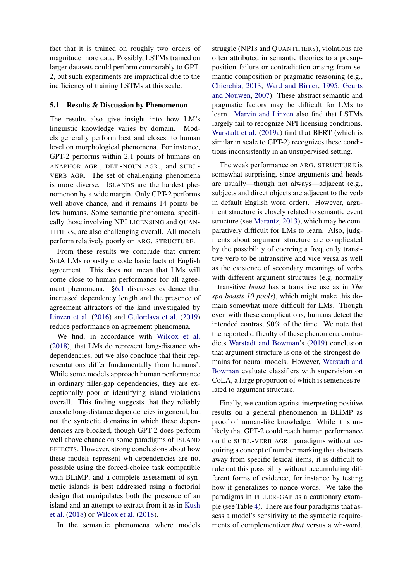fact that it is trained on roughly two orders of magnitude more data. Possibly, LSTMs trained on larger datasets could perform comparably to GPT-2, but such experiments are impractical due to the inefficiency of training LSTMs at this scale.

### 5.1 Results & Discussion by Phenomenon

The results also give insight into how LM's linguistic knowledge varies by domain. Models generally perform best and closest to human level on morphological phenomena. For instance, GPT-2 performs within 2.1 points of humans on ANAPHOR AGR., DET.-NOUN AGR., and SUBJ.- VERB AGR. The set of challenging phenomena is more diverse. ISLANDS are the hardest phenomenon by a wide margin. Only GPT-2 performs well above chance, and it remains 14 points below humans. Some semantic phenomena, specifically those involving NPI LICENSING and QUAN-TIFIERS, are also challenging overall. All models perform relatively poorly on ARG. STRUCTURE.

From these results we conclude that current SotA LMs robustly encode basic facts of English agreement. This does not mean that LMs will come close to human performance for all agreement phenomena. [§6.1](#page-7-0) discusses evidence that increased dependency length and the presence of agreement attractors of the kind investigated by [Linzen et al.](#page-12-0) [\(2016\)](#page-12-0) and [Gulordava et al.](#page-11-1) [\(2019\)](#page-11-1) reduce performance on agreement phenomena.

We find, in accordance with [Wilcox et al.](#page-13-0) [\(2018\)](#page-13-0), that LMs do represent long-distance whdependencies, but we also conclude that their representations differ fundamentally from humans'. While some models approach human performance in ordinary filler-gap dependencies, they are exceptionally poor at identifying island violations overall. This finding suggests that they reliably encode long-distance dependencies in general, but not the syntactic domains in which these dependencies are blocked, though GPT-2 does perform well above chance on some paradigms of ISLAND EFFECTS. However, strong conclusions about how these models represent wh-dependencies are not possible using the forced-choice task compatible with BLiMP, and a complete assessment of syntactic islands is best addressed using a factorial design that manipulates both the presence of an island and an attempt to extract from it as in [Kush](#page-12-15) [et al.](#page-12-15) [\(2018\)](#page-12-15) or [Wilcox et al.](#page-13-0) [\(2018\)](#page-13-0).

In the semantic phenomena where models

struggle (NPIS and QUANTIFIERS), violations are often attributed in semantic theories to a presupposition failure or contradiction arising from semantic composition or pragmatic reasoning (e.g., [Chierchia,](#page-11-17) [2013;](#page-11-17) [Ward and Birner,](#page-13-14) [1995;](#page-13-14) [Geurts](#page-11-18) [and Nouwen,](#page-11-18) [2007\)](#page-11-18). These abstract semantic and pragmatic factors may be difficult for LMs to learn. [Marvin and Linzen](#page-12-1) also find that LSTMs largely fail to recognize NPI licensing conditions. [Warstadt et al.](#page-13-8) [\(2019a\)](#page-13-8) find that BERT (which is similar in scale to GPT-2) recognizes these conditions inconsistently in an unsupervised setting.

The weak performance on ARG. STRUCTURE is somewhat surprising, since arguments and heads are usually—though not always—adjacent (e.g., subjects and direct objects are adjacent to the verb in default English word order). However, argument structure is closely related to semantic event structure (see [Marantz,](#page-12-16) [2013\)](#page-12-16), which may be comparatively difficult for LMs to learn. Also, judgments about argument structure are complicated by the possibility of coercing a frequently transitive verb to be intransitive and vice versa as well as the existence of secondary meanings of verbs with different argument structures (e.g. normally intransitive *boast* has a transitive use as in *The spa boasts 10 pools*), which might make this domain somewhat more difficult for LMs. Though even with these complications, humans detect the intended contrast 90% of the time. We note that the reported difficulty of these phenomena contradicts [Warstadt and Bowman'](#page-13-10)s [\(2019\)](#page-13-10) conclusion that argument structure is one of the strongest domains for neural models. However, [Warstadt and](#page-13-10) [Bowman](#page-13-10) evaluate classifiers with supervision on CoLA, a large proportion of which is sentences related to argument structure.

Finally, we caution against interpreting positive results on a general phenomenon in BLiMP as proof of human-like knowledge. While it is unlikely that GPT-2 could reach human performance on the SUBJ.-VERB AGR. paradigms without acquiring a concept of number marking that abstracts away from specific lexical items, it is difficult to rule out this possibility without accumulating different forms of evidence, for instance by testing how it generalizes to nonce words. We take the paradigms in FILLER-GAP as a cautionary example (see Table [4\)](#page-14-0). There are four paradigms that assess a model's sensitivity to the syntactic requirements of complementizer *that* versus a wh-word.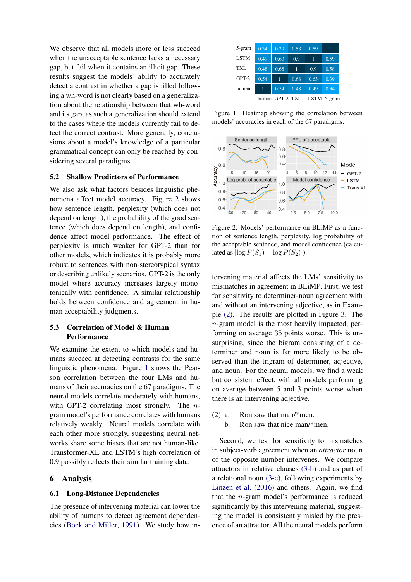We observe that all models more or less succeed when the unacceptable sentence lacks a necessary gap, but fail when it contains an illicit gap. These results suggest the models' ability to accurately detect a contrast in whether a gap is filled following a wh-word is not clearly based on a generalization about the relationship between that wh-word and its gap, as such a generalization should extend to the cases where the models currently fail to detect the correct contrast. More generally, conclusions about a model's knowledge of a particular grammatical concept can only be reached by considering several paradigms.

## 5.2 Shallow Predictors of Performance

We also ask what factors besides linguistic phenomena affect model accuracy. Figure [2](#page-7-1) shows how sentence length, perplexity (which does not depend on length), the probability of the good sentence (which does depend on length), and confidence affect model performance. The effect of perplexity is much weaker for GPT-2 than for other models, which indicates it is probably more robust to sentences with non-stereotypical syntax or describing unlikely scenarios. GPT-2 is the only model where accuracy increases largely monotonically with confidence. A similar relationship holds between confidence and agreement in human acceptability judgments.

### 5.3 Correlation of Model & Human Performance

We examine the extent to which models and humans succeed at detecting contrasts for the same linguistic phenomena. Figure [1](#page-7-2) shows the Pearson correlation between the four LMs and humans of their accuracies on the 67 paradigms. The neural models correlate moderately with humans, with GPT-2 correlating most strongly. The *n*gram model's performance correlates with humans relatively weakly. Neural models correlate with each other more strongly, suggesting neural networks share some biases that are not human-like. Transformer-XL and LSTM's high correlation of 0.9 possibly reflects their similar training data.

### 6 Analysis

### <span id="page-7-0"></span>6.1 Long-Distance Dependencies

The presence of intervening material can lower the ability of humans to detect agreement dependencies [\(Bock and Miller,](#page-11-19) [1991\)](#page-11-19). We study how in-

| 5-gram      | 0.34  | 0.39      | 0.58 | 0.59        |      |
|-------------|-------|-----------|------|-------------|------|
| <b>LSTM</b> | 0.49  | 0.63      | 0.9  |             | 0.59 |
| <b>TXL</b>  | 0.48  | 0.68      | 1    | 0.9         | 0.58 |
| $GPT-2$     | 0.54  | 1         | 0.68 | 0.63        | 0.39 |
| human       |       | 0.54      | 0.48 | 0.49        | 0.34 |
|             | human | GPT-2 TXL |      | LSTM 5-gram |      |

<span id="page-7-2"></span>Figure 1: Heatmap showing the correlation between models' accuracies in each of the 67 paradigms.



<span id="page-7-1"></span>Figure 2: Models' performance on BLiMP as a function of sentence length, perplexity, log probability of the acceptable sentence, and model confidence (calculated as  $|\log P(S_1) - \log P(S_2)|$ .

tervening material affects the LMs' sensitivity to mismatches in agreement in BLiMP. First, we test for sensitivity to determiner-noun agreement with and without an intervening adjective, as in Example [\(2\).](#page-7-3) The results are plotted in Figure [3.](#page-8-1) The n-gram model is the most heavily impacted, performing on average 35 points worse. This is unsurprising, since the bigram consisting of a determiner and noun is far more likely to be observed than the trigram of determiner, adjective, and noun. For the neural models, we find a weak but consistent effect, with all models performing on average between 5 and 3 points worse when there is an intervening adjective.

<span id="page-7-3"></span>(2) a. Ron saw that man/\*men. b. Ron saw that nice man/\*men.

Second, we test for sensitivity to mismatches in subject-verb agreement when an *attractor* noun of the opposite number intervenes. We compare attractors in relative clauses [\(3-b\)](#page-8-2) and as part of a relational noun [\(3-c\),](#page-8-3) following experiments by [Linzen et al.](#page-12-0) [\(2016\)](#page-12-0) and others. Again, we find that the  $n$ -gram model's performance is reduced significantly by this intervening material, suggesting the model is consistently misled by the presence of an attractor. All the neural models perform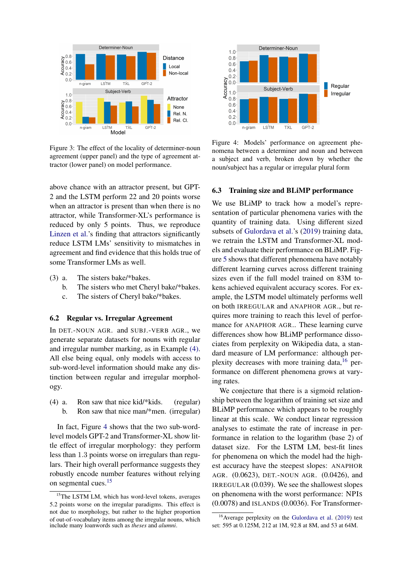

<span id="page-8-1"></span>Figure 3: The effect of the locality of determiner-noun agreement (upper panel) and the type of agreement attractor (lower panel) on model performance.

above chance with an attractor present, but GPT-2 and the LSTM perform 22 and 20 points worse when an attractor is present than when there is no attractor, while Transformer-XL's performance is reduced by only 5 points. Thus, we reproduce [Linzen et al.'](#page-12-0)s finding that attractors significantly reduce LSTM LMs' sensitivity to mismatches in agreement and find evidence that this holds true of some Transformer LMs as well.

- <span id="page-8-3"></span><span id="page-8-2"></span>(3) a. The sisters bake/\*bakes.
	- b. The sisters who met Cheryl bake/\*bakes.
	- c. The sisters of Cheryl bake/\*bakes.

### 6.2 Regular vs. Irregular Agreement

In DET.-NOUN AGR. and SUBJ.-VERB AGR., we generate separate datasets for nouns with regular and irregular number marking, as in Example [\(4\).](#page-8-4) All else being equal, only models with access to sub-word-level information should make any distinction between regular and irregular morphology.

<span id="page-8-4"></span>(4) a. Ron saw that nice kid/\*kids. (regular) b. Ron saw that nice man/\*men. (irregular)

In fact, Figure [4](#page-8-5) shows that the two sub-wordlevel models GPT-2 and Transformer-XL show little effect of irregular morphology: they perform less than 1.3 points worse on irregulars than regulars. Their high overall performance suggests they robustly encode number features without relying on segmental cues.<sup>[15](#page-8-6)</sup>



<span id="page-8-5"></span>Figure 4: Models' performance on agreement phenomena between a determiner and noun and between a subject and verb, broken down by whether the noun/subject has a regular or irregular plural form

### <span id="page-8-0"></span>6.3 Training size and BLiMP performance

We use BLiMP to track how a model's representation of particular phenomena varies with the quantity of training data. Using different sized subsets of [Gulordava et al.'](#page-11-1)s [\(2019\)](#page-11-1) training data, we retrain the LSTM and Transformer-XL models and evaluate their performance on BLiMP. Figure [5](#page-9-1) shows that different phenomena have notably different learning curves across different training sizes even if the full model trained on 83M tokens achieved equivalent accuracy scores. For example, the LSTM model ultimately performs well on both IRREGULAR and ANAPHOR AGR., but requires more training to reach this level of performance for ANAPHOR AGR.. These learning curve differences show how BLiMP performance dissociates from perplexity on Wikipedia data, a standard measure of LM performance: although perplexity decreases with more training data,  $16$  performance on different phenomena grows at varying rates.

We conjecture that there is a sigmoid relationship between the logarithm of training set size and BLiMP performance which appears to be roughly linear at this scale. We conduct linear regression analyses to estimate the rate of increase in performance in relation to the logarithm (base 2) of dataset size. For the LSTM LM, best-fit lines for phenomena on which the model had the highest accuracy have the steepest slopes: ANAPHOR AGR. (0.0623), DET.-NOUN AGR. (0.0426), and IRREGULAR (0.039). We see the shallowest slopes on phenomena with the worst performance: NPIS (0.0078) and ISLANDS (0.0036). For Transformer-

<span id="page-8-6"></span><sup>&</sup>lt;sup>15</sup>The LSTM LM, which has word-level tokens, averages 5.2 points worse on the irregular paradigms. This effect is not due to morphology, but rather to the higher proportion of out-of-vocabulary items among the irregular nouns, which include many loanwords such as *theses* and *alumni*.

<span id="page-8-7"></span><sup>16</sup>Average perplexity on the [Gulordava et al.](#page-11-1) [\(2019\)](#page-11-1) test set: 595 at 0.125M, 212 at 1M, 92.8 at 8M, and 53 at 64M.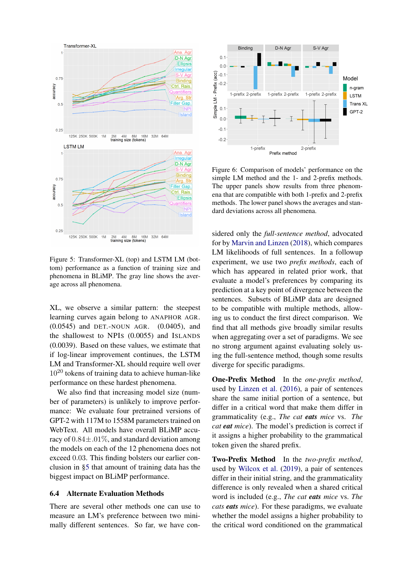

<span id="page-9-1"></span>Figure 5: Transformer-XL (top) and LSTM LM (bottom) performance as a function of training size and phenomena in BLiMP. The gray line shows the average across all phenomena.

XL, we observe a similar pattern: the steepest learning curves again belong to ANAPHOR AGR. (0.0545) and DET.-NOUN AGR. (0.0405), and the shallowest to NPIS (0.0055) and ISLANDS (0.0039). Based on these values, we estimate that if log-linear improvement continues, the LSTM LM and Transformer-XL should require well over  $10^{20}$  tokens of training data to achieve human-like performance on these hardest phenomena.

We also find that increasing model size (number of parameters) is unlikely to improve performance: We evaluate four pretrained versions of GPT-2 with 117M to 1558M parameters trained on WebText. All models have overall BLiMP accuracy of  $0.84 \pm .01\%$ , and standard deviation among the models on each of the 12 phenomena does not exceed 0.03. This finding bolsters our earlier conclusion in [§5](#page-5-6) that amount of training data has the biggest impact on BLiMP performance.

### <span id="page-9-0"></span>6.4 Alternate Evaluation Methods

There are several other methods one can use to measure an LM's preference between two minimally different sentences. So far, we have con-



<span id="page-9-2"></span>Figure 6: Comparison of models' performance on the simple LM method and the 1- and 2-prefix methods. The upper panels show results from three phenomena that are compatible with both 1-prefix and 2-prefix methods. The lower panel shows the averages and standard deviations across all phenomena.

sidered only the *full-sentence method*, advocated for by [Marvin and Linzen](#page-12-1) [\(2018\)](#page-12-1), which compares LM likelihoods of full sentences. In a followup experiment, we use two *prefix methods*, each of which has appeared in related prior work, that evaluate a model's preferences by comparing its prediction at a key point of divergence between the sentences. Subsets of BLiMP data are designed to be compatible with multiple methods, allowing us to conduct the first direct comparison. We find that all methods give broadly similar results when aggregating over a set of paradigms. We see no strong argument against evaluating solely using the full-sentence method, though some results diverge for specific paradigms.

One-Prefix Method In the *one-prefix method*, used by [Linzen et al.](#page-12-0) [\(2016\)](#page-12-0), a pair of sentences share the same initial portion of a sentence, but differ in a critical word that make them differ in grammaticality (e.g., *The cat eats mice* vs. *The cat eat mice*). The model's prediction is correct if it assigns a higher probability to the grammatical token given the shared prefix.

Two-Prefix Method In the *two-prefix method*, used by [Wilcox et al.](#page-13-7) [\(2019\)](#page-13-7), a pair of sentences differ in their initial string, and the grammaticality difference is only revealed when a shared critical word is included (e.g., *The cat eats mice* vs. *The cats eats mice*). For these paradigms, we evaluate whether the model assigns a higher probability to the critical word conditioned on the grammatical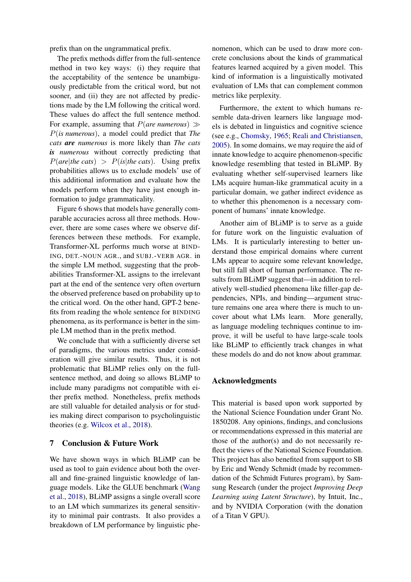prefix than on the ungrammatical prefix.

The prefix methods differ from the full-sentence method in two key ways: (i) they require that the acceptability of the sentence be unambiguously predictable from the critical word, but not sooner, and (ii) they are not affected by predictions made by the LM following the critical word. These values do affect the full sentence method. For example, assuming that  $P(a$ re numerous)  $\gg$ P(*is numerous*), a model could predict that *The cats are numerous* is more likely than *The cats is numerous* without correctly predicting that  $P(a$ re|*the cats*) >  $P(is|the\; cats)$ . Using prefix probabilities allows us to exclude models' use of this additional information and evaluate how the models perform when they have just enough information to judge grammaticality.

Figure [6](#page-9-2) shows that models have generally comparable accuracies across all three methods. However, there are some cases where we observe differences between these methods. For example, Transformer-XL performs much worse at BIND-ING, DET.-NOUN AGR., and SUBJ.-VERB AGR. in the simple LM method, suggesting that the probabilities Transformer-XL assigns to the irrelevant part at the end of the sentence very often overturn the observed preference based on probability up to the critical word. On the other hand, GPT-2 benefits from reading the whole sentence for BINDING phenomena, as its performance is better in the simple LM method than in the prefix method.

We conclude that with a sufficiently diverse set of paradigms, the various metrics under consideration will give similar results. Thus, it is not problematic that BLiMP relies only on the fullsentence method, and doing so allows BLiMP to include many paradigms not compatible with either prefix method. Nonetheless, prefix methods are still valuable for detailed analysis or for studies making direct comparison to psycholinguistic theories (e.g. [Wilcox et al.,](#page-13-0) [2018\)](#page-13-0).

# 7 Conclusion & Future Work

We have shown ways in which BLiMP can be used as tool to gain evidence about both the overall and fine-grained linguistic knowledge of language models. Like the GLUE benchmark [\(Wang](#page-13-2) [et al.,](#page-13-2) [2018\)](#page-13-2), BLiMP assigns a single overall score to an LM which summarizes its general sensitivity to minimal pair contrasts. It also provides a breakdown of LM performance by linguistic phe-

nomenon, which can be used to draw more concrete conclusions about the kinds of grammatical features learned acquired by a given model. This kind of information is a linguistically motivated evaluation of LMs that can complement common metrics like perplexity.

Furthermore, the extent to which humans resemble data-driven learners like language models is debated in linguistics and cognitive science (see e.g., [Chomsky,](#page-11-13) [1965;](#page-11-13) [Reali and Christiansen,](#page-12-17) [2005\)](#page-12-17). In some domains, we may require the aid of innate knowledge to acquire phenomenon-specific knowledge resembling that tested in BLiMP. By evaluating whether self-supervised learners like LMs acquire human-like grammatical acuity in a particular domain, we gather indirect evidence as to whether this phenomenon is a necessary component of humans' innate knowledge.

Another aim of BLiMP is to serve as a guide for future work on the linguistic evaluation of LMs. It is particularly interesting to better understand those empirical domains where current LMs appear to acquire some relevant knowledge, but still fall short of human performance. The results from BLiMP suggest that—in addition to relatively well-studied phenomena like filler-gap dependencies, NPIs, and binding—argument structure remains one area where there is much to uncover about what LMs learn. More generally, as language modeling techniques continue to improve, it will be useful to have large-scale tools like BLiMP to efficiently track changes in what these models do and do not know about grammar.

### Acknowledgments

This material is based upon work supported by the National Science Foundation under Grant No. 1850208. Any opinions, findings, and conclusions or recommendations expressed in this material are those of the author(s) and do not necessarily reflect the views of the National Science Foundation. This project has also benefited from support to SB by Eric and Wendy Schmidt (made by recommendation of the Schmidt Futures program), by Samsung Research (under the project *Improving Deep Learning using Latent Structure*), by Intuit, Inc., and by NVIDIA Corporation (with the donation of a Titan V GPU).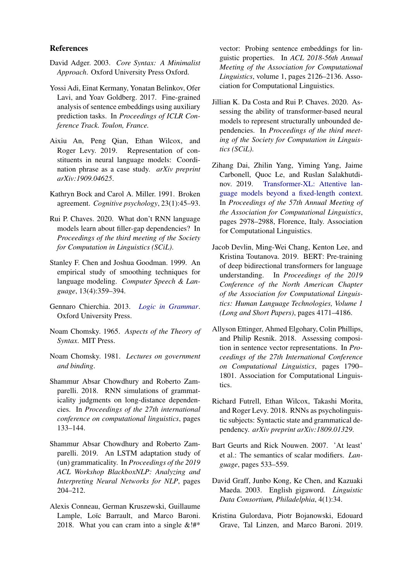### References

- <span id="page-11-14"></span>David Adger. 2003. *Core Syntax: A Minimalist Approach*. Oxford University Press Oxford.
- <span id="page-11-4"></span>Yossi Adi, Einat Kermany, Yonatan Belinkov, Ofer Lavi, and Yoav Goldberg. 2017. Fine-grained analysis of sentence embeddings using auxiliary prediction tasks. In *Proceedings of ICLR Conference Track. Toulon, France.*
- <span id="page-11-8"></span>Aixiu An, Peng Qian, Ethan Wilcox, and Roger Levy. 2019. Representation of constituents in neural language models: Coordination phrase as a case study. *arXiv preprint arXiv:1909.04625*.
- <span id="page-11-19"></span>Kathryn Bock and Carol A. Miller. 1991. Broken agreement. *Cognitive psychology*, 23(1):45–93.
- <span id="page-11-11"></span>Rui P. Chaves. 2020. What don't RNN language models learn about filler-gap dependencies? In *Proceedings of the third meeting of the Society for Computation in Linguistics (SCiL)*.
- <span id="page-11-3"></span>Stanley F. Chen and Joshua Goodman. 1999. An empirical study of smoothing techniques for language modeling. *Computer Speech & Language*, 13(4):359–394.
- <span id="page-11-17"></span>Gennaro Chierchia. 2013. *[Logic in Grammar](https://doi.org/10.1093/acprof:oso/9780199697977.001.0001)*. Oxford University Press.
- <span id="page-11-13"></span>Noam Chomsky. 1965. *Aspects of the Theory of Syntax*. MIT Press.
- <span id="page-11-15"></span>Noam Chomsky. 1981. *Lectures on government and binding*.
- <span id="page-11-9"></span>Shammur Absar Chowdhury and Roberto Zamparelli. 2018. RNN simulations of grammaticality judgments on long-distance dependencies. In *Proceedings of the 27th international conference on computational linguistics*, pages 133–144.
- <span id="page-11-10"></span>Shammur Absar Chowdhury and Roberto Zamparelli. 2019. An LSTM adaptation study of (un) grammaticality. In *Proceedings of the 2019 ACL Workshop BlackboxNLP: Analyzing and Interpreting Neural Networks for NLP*, pages 204–212.
- <span id="page-11-5"></span>Alexis Conneau, German Kruszewski, Guillaume Lample, Loïc Barrault, and Marco Baroni. 2018. What you can cram into a single  $&\&$ !#\*

vector: Probing sentence embeddings for linguistic properties. In *ACL 2018-56th Annual Meeting of the Association for Computational Linguistics*, volume 1, pages 2126–2136. Association for Computational Linguistics.

- <span id="page-11-12"></span>Jillian K. Da Costa and Rui P. Chaves. 2020. Assessing the ability of transformer-based neural models to represent structurally unbounded dependencies. In *Proceedings of the third meeting of the Society for Computation in Linguistics (SCiL)*.
- <span id="page-11-0"></span>Zihang Dai, Zhilin Yang, Yiming Yang, Jaime Carbonell, Quoc Le, and Ruslan Salakhutdinov. 2019. [Transformer-XL: Attentive lan](https://doi.org/10.18653/v1/P19-1285)[guage models beyond a fixed-length context.](https://doi.org/10.18653/v1/P19-1285) In *Proceedings of the 57th Annual Meeting of the Association for Computational Linguistics*, pages 2978–2988, Florence, Italy. Association for Computational Linguistics.
- <span id="page-11-2"></span>Jacob Devlin, Ming-Wei Chang, Kenton Lee, and Kristina Toutanova. 2019. BERT: Pre-training of deep bidirectional transformers for language understanding. In *Proceedings of the 2019 Conference of the North American Chapter of the Association for Computational Linguistics: Human Language Technologies, Volume 1 (Long and Short Papers)*, pages 4171–4186.
- <span id="page-11-6"></span>Allyson Ettinger, Ahmed Elgohary, Colin Phillips, and Philip Resnik. 2018. Assessing composition in sentence vector representations. In *Proceedings of the 27th International Conference on Computational Linguistics*, pages 1790– 1801. Association for Computational Linguistics.
- <span id="page-11-7"></span>Richard Futrell, Ethan Wilcox, Takashi Morita, and Roger Levy. 2018. RNNs as psycholinguistic subjects: Syntactic state and grammatical dependency. *arXiv preprint arXiv:1809.01329*.
- <span id="page-11-18"></span>Bart Geurts and Rick Nouwen. 2007. 'At least' et al.: The semantics of scalar modifiers. *Language*, pages 533–559.
- <span id="page-11-16"></span>David Graff, Junbo Kong, Ke Chen, and Kazuaki Maeda. 2003. English gigaword. *Linguistic Data Consortium, Philadelphia*, 4(1):34.
- <span id="page-11-1"></span>Kristina Gulordava, Piotr Bojanowski, Edouard Grave, Tal Linzen, and Marco Baroni. 2019.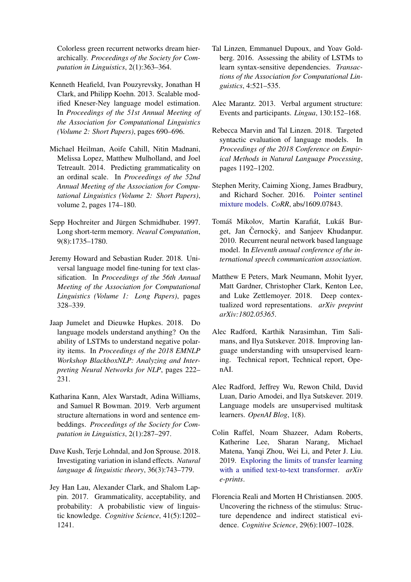Colorless green recurrent networks dream hierarchically. *Proceedings of the Society for Computation in Linguistics*, 2(1):363–364.

- <span id="page-12-14"></span>Kenneth Heafield, Ivan Pouzyrevsky, Jonathan H Clark, and Philipp Koehn. 2013. Scalable modified Kneser-Ney language model estimation. In *Proceedings of the 51st Annual Meeting of the Association for Computational Linguistics (Volume 2: Short Papers)*, pages 690–696.
- <span id="page-12-10"></span>Michael Heilman, Aoife Cahill, Nitin Madnani, Melissa Lopez, Matthew Mulholland, and Joel Tetreault. 2014. Predicting grammaticality on an ordinal scale. In *Proceedings of the 52nd Annual Meeting of the Association for Computational Linguistics (Volume 2: Short Papers)*, volume 2, pages 174–180.
- <span id="page-12-13"></span>Sepp Hochreiter and Jürgen Schmidhuber. 1997. Long short-term memory. *Neural Computation*, 9(8):1735–1780.
- <span id="page-12-3"></span>Jeremy Howard and Sebastian Ruder. 2018. Universal language model fine-tuning for text classification. In *Proceedings of the 56th Annual Meeting of the Association for Computational Linguistics (Volume 1: Long Papers)*, pages 328–339.
- <span id="page-12-8"></span>Jaap Jumelet and Dieuwke Hupkes. 2018. Do language models understand anything? On the ability of LSTMs to understand negative polarity items. In *Proceedings of the 2018 EMNLP Workshop BlackboxNLP: Analyzing and Interpreting Neural Networks for NLP*, pages 222– 231.
- <span id="page-12-9"></span>Katharina Kann, Alex Warstadt, Adina Williams, and Samuel R Bowman. 2019. Verb argument structure alternations in word and sentence embeddings. *Proceedings of the Society for Computation in Linguistics*, 2(1):287–297.
- <span id="page-12-15"></span>Dave Kush, Terje Lohndal, and Jon Sprouse. 2018. Investigating variation in island effects. *Natural language & linguistic theory*, 36(3):743–779.
- <span id="page-12-11"></span>Jey Han Lau, Alexander Clark, and Shalom Lappin. 2017. Grammaticality, acceptability, and probability: A probabilistic view of linguistic knowledge. *Cognitive Science*, 41(5):1202– 1241.
- <span id="page-12-0"></span>Tal Linzen, Emmanuel Dupoux, and Yoav Goldberg. 2016. Assessing the ability of LSTMs to learn syntax-sensitive dependencies. *Transactions of the Association for Computational Linguistics*, 4:521–535.
- <span id="page-12-16"></span>Alec Marantz. 2013. Verbal argument structure: Events and participants. *Lingua*, 130:152–168.
- <span id="page-12-1"></span>Rebecca Marvin and Tal Linzen. 2018. Targeted syntactic evaluation of language models. In *Proceedings of the 2018 Conference on Empirical Methods in Natural Language Processing*, pages 1192–1202.
- <span id="page-12-7"></span>Stephen Merity, Caiming Xiong, James Bradbury, and Richard Socher. 2016. [Pointer sentinel](http://arxiv.org/abs/1609.07843) [mixture models.](http://arxiv.org/abs/1609.07843) *CoRR*, abs/1609.07843.
- <span id="page-12-6"></span>Tomáš Mikolov, Martin Karafiát, Lukáš Burget, Jan Černocky, and Sanjeev Khudanpur. 2010. Recurrent neural network based language model. In *Eleventh annual conference of the international speech communication association*.
- <span id="page-12-4"></span>Matthew E Peters, Mark Neumann, Mohit Iyyer, Matt Gardner, Christopher Clark, Kenton Lee, and Luke Zettlemoyer. 2018. Deep contextualized word representations. *arXiv preprint arXiv:1802.05365*.
- <span id="page-12-5"></span>Alec Radford, Karthik Narasimhan, Tim Salimans, and Ilya Sutskever. 2018. Improving language understanding with unsupervised learning. Technical report, Technical report, OpenAI.
- <span id="page-12-2"></span>Alec Radford, Jeffrey Wu, Rewon Child, David Luan, Dario Amodei, and Ilya Sutskever. 2019. Language models are unsupervised multitask learners. *OpenAI Blog*, 1(8).
- <span id="page-12-12"></span>Colin Raffel, Noam Shazeer, Adam Roberts, Katherine Lee, Sharan Narang, Michael Matena, Yanqi Zhou, Wei Li, and Peter J. Liu. 2019. [Exploring the limits of transfer learning](http://arxiv.org/abs/1910.10683) [with a unified text-to-text transformer.](http://arxiv.org/abs/1910.10683) *arXiv e-prints*.
- <span id="page-12-17"></span>Florencia Reali and Morten H Christiansen. 2005. Uncovering the richness of the stimulus: Structure dependence and indirect statistical evidence. *Cognitive Science*, 29(6):1007–1028.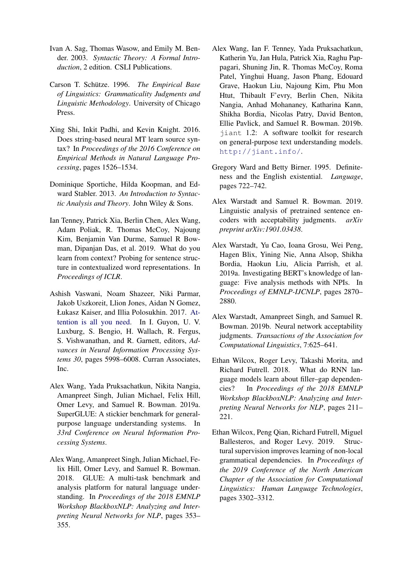- <span id="page-13-11"></span>Ivan A. Sag, Thomas Wasow, and Emily M. Bender. 2003. *Syntactic Theory: A Formal Introduction*, 2 edition. CSLI Publications.
- <span id="page-13-9"></span>Carson T. Schütze. 1996. *The Empirical Base of Linguistics: Grammaticality Judgments and Linguistic Methodology*. University of Chicago Press.
- <span id="page-13-4"></span>Xing Shi, Inkit Padhi, and Kevin Knight. 2016. Does string-based neural MT learn source syntax? In *Proceedings of the 2016 Conference on Empirical Methods in Natural Language Processing*, pages 1526–1534.
- <span id="page-13-12"></span>Dominique Sportiche, Hilda Koopman, and Edward Stabler. 2013. *An Introduction to Syntactic Analysis and Theory*. John Wiley & Sons.
- <span id="page-13-5"></span>Ian Tenney, Patrick Xia, Berlin Chen, Alex Wang, Adam Poliak, R. Thomas McCoy, Najoung Kim, Benjamin Van Durme, Samuel R Bowman, Dipanjan Das, et al. 2019. What do you learn from context? Probing for sentence structure in contextualized word representations. In *Proceedings of ICLR*.
- <span id="page-13-1"></span>Ashish Vaswani, Noam Shazeer, Niki Parmar, Jakob Uszkoreit, Llion Jones, Aidan N Gomez, Łukasz Kaiser, and Illia Polosukhin. 2017. [At](http://papers.nips.cc/paper/7181-attention-is-all-you-need.pdf)[tention is all you need.](http://papers.nips.cc/paper/7181-attention-is-all-you-need.pdf) In I. Guyon, U. V. Luxburg, S. Bengio, H. Wallach, R. Fergus, S. Vishwanathan, and R. Garnett, editors, *Advances in Neural Information Processing Systems 30*, pages 5998–6008. Curran Associates, Inc.
- <span id="page-13-3"></span>Alex Wang, Yada Pruksachatkun, Nikita Nangia, Amanpreet Singh, Julian Michael, Felix Hill, Omer Levy, and Samuel R. Bowman. 2019a. SuperGLUE: A stickier benchmark for generalpurpose language understanding systems. In *33rd Conference on Neural Information Processing Systems*.
- <span id="page-13-2"></span>Alex Wang, Amanpreet Singh, Julian Michael, Felix Hill, Omer Levy, and Samuel R. Bowman. 2018. GLUE: A multi-task benchmark and analysis platform for natural language understanding. In *Proceedings of the 2018 EMNLP Workshop BlackboxNLP: Analyzing and Interpreting Neural Networks for NLP*, pages 353– 355.
- <span id="page-13-13"></span>Alex Wang, Ian F. Tenney, Yada Pruksachatkun, Katherin Yu, Jan Hula, Patrick Xia, Raghu Pappagari, Shuning Jin, R. Thomas McCoy, Roma Patel, Yinghui Huang, Jason Phang, Edouard Grave, Haokun Liu, Najoung Kim, Phu Mon Htut, Thibault F'evry, Berlin Chen, Nikita Nangia, Anhad Mohananey, Katharina Kann, Shikha Bordia, Nicolas Patry, David Benton, Ellie Pavlick, and Samuel R. Bowman. 2019b. jiant 1.2: A software toolkit for research on general-purpose text understanding models. <http://jiant.info/>.
- <span id="page-13-14"></span>Gregory Ward and Betty Birner. 1995. Definiteness and the English existential. *Language*, pages 722–742.
- <span id="page-13-10"></span>Alex Warstadt and Samuel R. Bowman. 2019. Linguistic analysis of pretrained sentence encoders with acceptability judgments. *arXiv preprint arXiv:1901.03438*.
- <span id="page-13-8"></span>Alex Warstadt, Yu Cao, Ioana Grosu, Wei Peng, Hagen Blix, Yining Nie, Anna Alsop, Shikha Bordia, Haokun Liu, Alicia Parrish, et al. 2019a. Investigating BERT's knowledge of language: Five analysis methods with NPIs. In *Proceedings of EMNLP-IJCNLP*, pages 2870– 2880.
- <span id="page-13-6"></span>Alex Warstadt, Amanpreet Singh, and Samuel R. Bowman. 2019b. Neural network acceptability judgments. *Transactions of the Association for Computational Linguistics*, 7:625–641.
- <span id="page-13-0"></span>Ethan Wilcox, Roger Levy, Takashi Morita, and Richard Futrell. 2018. What do RNN language models learn about filler–gap dependencies? In *Proceedings of the 2018 EMNLP Workshop BlackboxNLP: Analyzing and Interpreting Neural Networks for NLP*, pages 211– 221.
- <span id="page-13-7"></span>Ethan Wilcox, Peng Qian, Richard Futrell, Miguel Ballesteros, and Roger Levy. 2019. Structural supervision improves learning of non-local grammatical dependencies. In *Proceedings of the 2019 Conference of the North American Chapter of the Association for Computational Linguistics: Human Language Technologies*, pages 3302–3312.